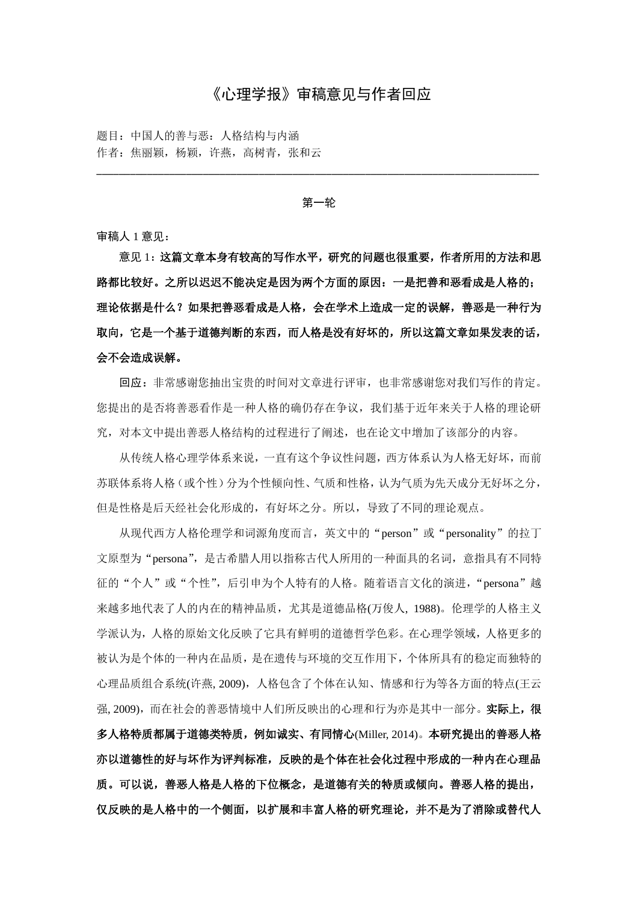### 《心理学报》审稿意见与作者回应

题目:中国人的善与恶:人格结构与内涵 作者:焦丽颖,杨颖,许燕,高树青,张和云

第一轮

\_\_\_\_\_\_\_\_\_\_\_\_\_\_\_\_\_\_\_\_\_\_\_\_\_\_\_\_\_\_\_\_\_\_\_\_\_\_\_\_\_\_\_\_\_\_\_\_\_\_\_\_\_\_\_\_\_\_\_\_\_\_\_\_\_\_\_\_\_\_\_\_\_\_\_\_\_\_\_

审稿人 1 意见:

意见 1:这篇文章本身有较高的写作水平,研究的问题也很重要,作者所用的方法和思 路都比较好。之所以迟迟不能决定是因为两个方面的原因:一是把善和恶看成是人格的; 理论依据是什么?如果把善恶看成是人格,会在学术上造成一定的误解,善恶是一种行为 取向,它是一个基于道德判断的东西,而人格是没有好坏的,所以这篇文章如果发表的话, 会不会造成误解。

回应:非常感谢您抽出宝贵的时间对文章进行评审,也非常感谢您对我们写作的肯定。 您提出的是否将善恶看作是一种人格的确仍存在争议,我们基于近年来关于人格的理论研 究,对本文中提出善恶人格结构的过程进行了阐述,也在论文中增加了该部分的内容。

从传统人格心理学体系来说,一直有这个争议性问题,西方体系认为人格无好坏,而前 苏联体系将人格(或个性)分为个性倾向性、气质和性格,认为气质为先天成分无好坏之分, 但是性格是后天经社会化形成的,有好坏之分。所以,导致了不同的理论观点。

从现代西方人格伦理学和词源角度而言,英文中的"person"或"personality"的拉丁 文原型为"persona",是古希腊人用以指称古代人所用的一种面具的名词, 意指具有不同特 征的"个人"或"个性",后引申为个人特有的人格。随着语言文化的演进,"persona"越 来越多地代表了人的内在的精神品质,尤其是道德品格(万俊人, 1988)。伦理学的人格主义 学派认为,人格的原始文化反映了它具有鲜明的道德哲学色彩。在心理学领域,人格更多的 被认为是个体的一种内在品质,是在遗传与环境的交互作用下,个体所具有的稳定而独特的 心理品质组合系统(许燕, 2009),人格包含了个体在认知、情感和行为等各方面的特点(王云 强, 2009),而在社会的善恶情境中人们所反映出的心理和行为亦是其中一部分。实际上,很 多人格特质都属于道德类特质,例如诚实、有同情心(Miller, 2014)。本研究提出的善恶人格 亦以道德性的好与坏作为评判标准,反映的是个体在社会化过程中形成的一种内在心理品 质。可以说,善恶人格是人格的下位概念,是道德有关的特质或倾向。善恶人格的提出, 仅反映的是人格中的一个侧面,以扩展和丰富人格的研究理论,并不是为了消除或替代人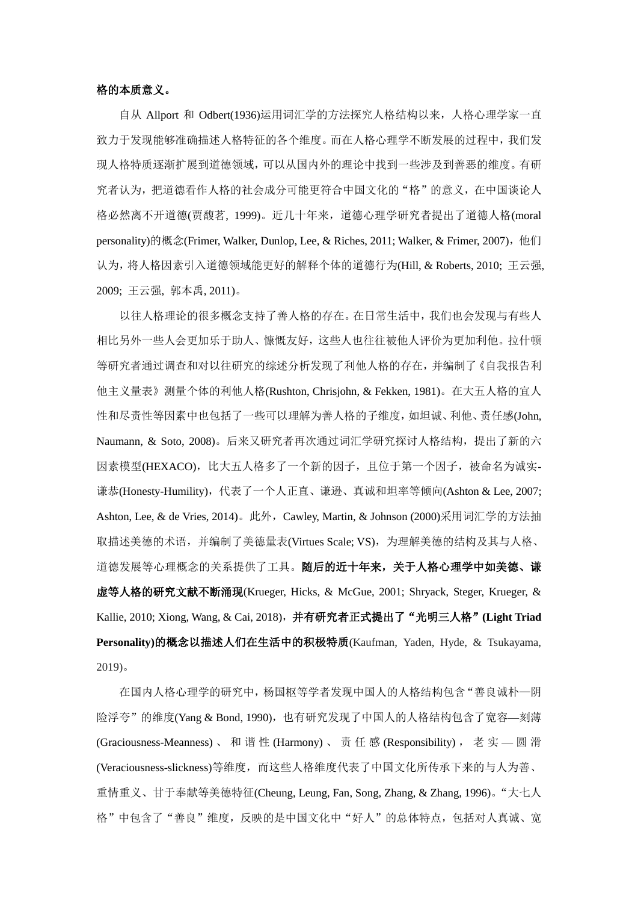#### 格的本质意义。

自从 Allport 和 Odbert(1936)运用词汇学的方法探究人格结构以来,人格心理学家一直 致力于发现能够准确描述人格特征的各个维度。而在人格心理学不断发展的过程中,我们发 现人格特质逐渐扩展到道德领域,可以从国内外的理论中找到一些涉及到善恶的维度。有研 究者认为,把道德看作人格的社会成分可能更符合中国文化的"格"的意义,在中国谈论人 格必然离不开道德(贾馥茗, 1999)。近几十年来,道德心理学研究者提出了道德人格(moral personality)的概念(Frimer, Walker, Dunlop, Lee, & Riches, 2011; Walker, & Frimer, 2007), 他们 认为,将人格因素引入道德领域能更好的解释个体的道德行为(Hill, & Roberts, 2010; 王云强, 2009; 王云强, 郭本禹, 2011)。

以往人格理论的很多概念支持了善人格的存在。在日常生活中,我们也会发现与有些人 相比另外一些人会更加乐于助人、慷慨友好,这些人也往往被他人评价为更加利他。拉什顿 等研究者通过调查和对以往研究的综述分析发现了利他人格的存在,并编制了《自我报告利 他主义量表》测量个体的利他人格(Rushton, Chrisjohn, & Fekken, 1981)。在大五人格的宜人 性和尽责性等因素中也包括了一些可以理解为善人格的子维度,如坦诚、利他、责任感(John, Naumann, & Soto, 2008)。后来又研究者再次通过词汇学研究探讨人格结构, 提出了新的六 因素模型(HEXACO),比大五人格多了一个新的因子,且位于第一个因子,被命名为诚实-谦恭(Honesty-Humility),代表了一个人正直、谦逊、真诚和坦率等倾向(Ashton & Lee, 2007; Ashton, Lee, & de Vries, 2014)。此外, Cawley, Martin, & Johnson (2000)采用词汇学的方法抽 取描述美德的术语,并编制了美德量表(Virtues Scale; VS), 为理解美德的结构及其与人格、 道德发展等心理概念的关系提供了工具。随后的近十年来,关于人格心理学中如美德、谦 虚等人格的研究文献不断涌现(Krueger, Hicks, & McGue, 2001; Shryack, Steger, Krueger, & Kallie, 2010; Xiong, Wang, & Cai, 2018),并有研究者正式提出了"光明三人格"**(Light Triad Personality)**的概念以描述人们在生活中的积极特质(Kaufman, Yaden, Hyde, & Tsukayama, 2019)。

在国内人格心理学的研究中,杨国枢等学者发现中国人的人格结构包含"善良诚朴—阴 险浮夸"的维度(Yang & Bond, 1990),也有研究发现了中国人的人格结构包含了宽容—刻薄 (Graciousness-Meanness) 、 和 谐 性 (Harmony) 、 责 任 感 (Responsibility) , 老 实 — 圆 滑 (Veraciousness-slickness)等维度,而这些人格维度代表了中国文化所传承下来的与人为善、 重情重义、甘于奉献等美德特征(Cheung, Leung, Fan, Song, Zhang, & Zhang, 1996)。"大七人 格"中包含了"善良"维度,反映的是中国文化中"好人"的总体特点,包括对人真诚、宽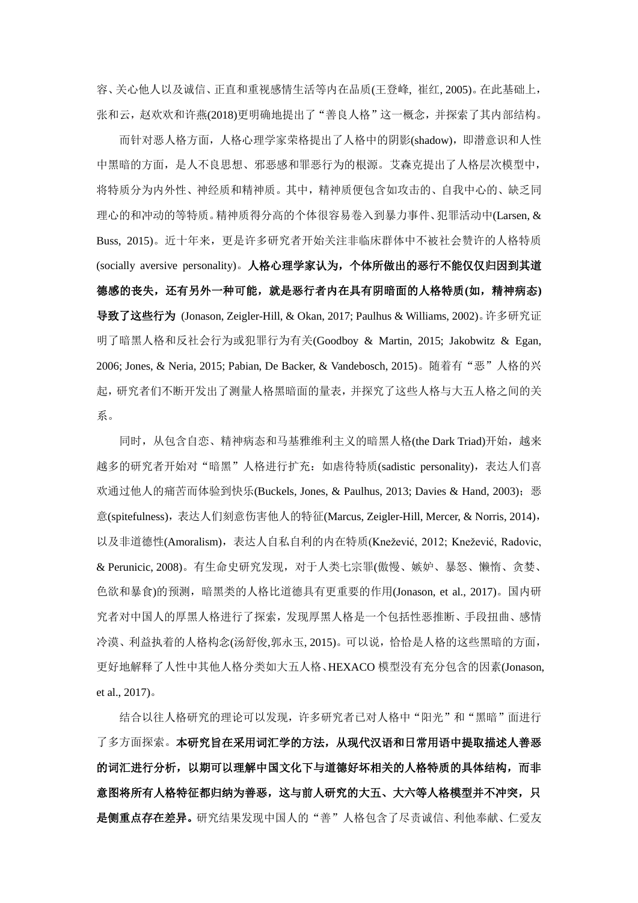容、关心他人以及诚信、正直和重视感情生活等内在品质(王登峰, 崔红, 2005)。在此基础上, 张和云,赵欢欢和许燕(2018)更明确地提出了"善良人格"这一概念,并探索了其内部结构。

而针对恶人格方面,人格心理学家荣格提出了人格中的阴影(shadow),即潜意识和人性 中黑暗的方面,是人不良思想、邪恶感和罪恶行为的根源。艾森克提出了人格层次模型中, 将特质分为内外性、神经质和精神质。其中,精神质便包含如攻击的、自我中心的、缺乏同 理心的和冲动的等特质。精神质得分高的个体很容易卷入到暴力事件、犯罪活动中(Larsen, & Buss, 2015)。近十年来,更是许多研究者开始关注非临床群体中不被社会赞许的人格特质 (socially aversive personality)。人格心理学家认为,个体所做出的恶行不能仅仅归因到其道 德感的丧失,还有另外一种可能,就是恶行者内在具有阴暗面的人格特质**(**如,精神病态**)** 导致了这些行为 (Jonason, Zeigler-Hill, & Okan, 2017; Paulhus & Williams, 2002)。许多研究证 明了暗黑人格和反社会行为或犯罪行为有关(Goodboy & Martin, 2015; Jakobwitz & Egan, 2006; Jones, & Neria, 2015; Pabian, De Backer, & Vandebosch, 2015)。随着有"恶"人格的兴 起,研究者们不断开发出了测量人格黑暗面的量表,并探究了这些人格与大五人格之间的关 系。

同时,从包含自恋、精神病态和马基雅维利主义的暗黑人格(the Dark Triad)开始,越来 越多的研究者开始对"暗黑"人格进行扩充:如虐待特质(sadistic personality),表达人们喜 欢通过他人的痛苦而体验到快乐(Buckels, Jones, & Paulhus, 2013; Davies & Hand, 2003); 恶 意(spitefulness),表达人们刻意伤害他人的特征(Marcus, Zeigler-Hill, Mercer, & Norris, 2014), 以及非道德性(Amoralism),表达人自私自利的内在特质(Knežević, 2012; Knežević, Radovic, & Perunicic, 2008)。有生命史研究发现,对于人类七宗罪(傲慢、嫉妒、暴怒、懒惰、贪婪、 色欲和暴食)的预测,暗黑类的人格比道德具有更重要的作用(Jonason, et al., 2017)。国内研 究者对中国人的厚黑人格进行了探索,发现厚黑人格是一个包括性恶推断、手段扭曲、感情 冷漠、利益执着的人格构念(汤舒俊,郭永玉, 2015)。可以说,恰恰是人格的这些黑暗的方面, 更好地解释了人性中其他人格分类如大五人格、HEXACO 模型没有充分包含的因素(Jonason, et al., 2017)。

结合以往人格研究的理论可以发现,许多研究者已对人格中"阳光"和"黑暗"面进行 了多方面探索。本研究旨在采用词汇学的方法,从现代汉语和日常用语中提取描述人善恶 的词汇进行分析,以期可以理解中国文化下与道德好坏相关的人格特质的具体结构,而非 意图将所有人格特征都归纳为善恶,这与前人研究的大五、大六等人格模型并不冲突,只 是侧重点存在差异。研究结果发现中国人的"善"人格包含了尽责诚信、利他奉献、仁爱友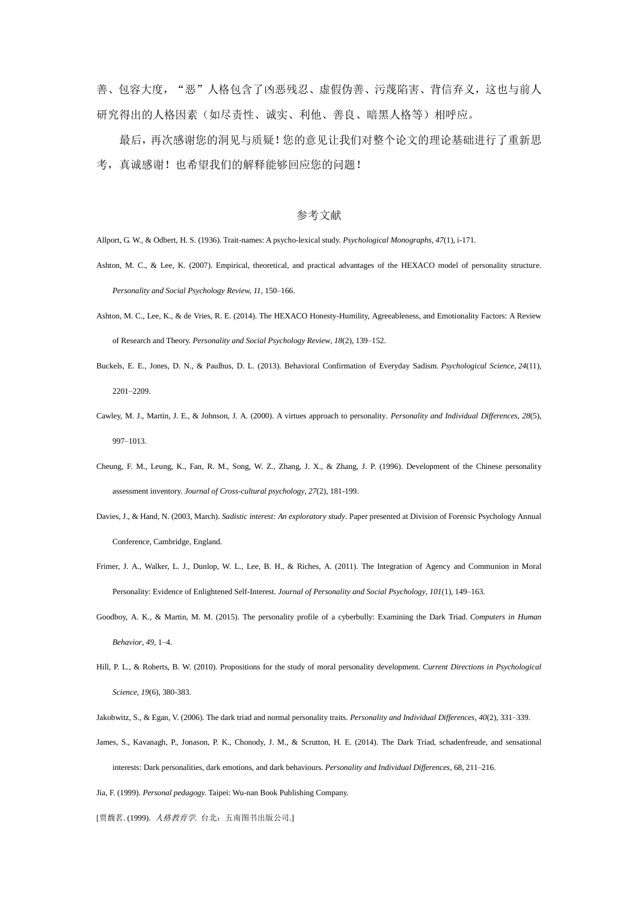善、包容大度, "恶"人格包含了凶恶残忍、虚假伪善、污蔑陷害、背信弃义,这也与前人 研究得出的人格因素(如尽责性、诚实、利他、善良、暗黑人格等)相呼应。

最后,再次感谢您的洞见与质疑!您的意见让我们对整个论文的理论基础进行了重新思 考,真诚感谢!也希望我们的解释能够回应您的问题!

#### 参考文献

Allport, G. W., & Odbert, H. S. (1936). Trait-names: A psycho-lexical study. *Psychological Monographs, 47*(1), i-171.

- Ashton, M. C., & Lee, K. (2007). Empirical, theoretical, and practical advantages of the HEXACO model of personality structure. *Personality and Social Psychology Review, 11*, 150–166.
- Ashton, M. C., Lee, K., & de Vries, R. E. (2014). The HEXACO Honesty-Humility, Agreeableness, and Emotionality Factors: A Review of Research and Theory. *Personality and Social Psychology Review*, *18*(2), 139–152.
- Buckels, E. E., Jones, D. N., & Paulhus, D. L. (2013). Behavioral Confirmation of Everyday Sadism. *Psychological Science*, *24*(11), 2201–2209.
- Cawley, M. J., Martin, J. E., & Johnson, J. A. (2000). A virtues approach to personality*. Personality and Individual Differences, 28*(5), 997–1013.
- Cheung, F. M., Leung, K., Fan, R. M., Song, W. Z., Zhang, J. X., & Zhang, J. P. (1996). Development of the Chinese personality assessment inventory. *Journal of Cross-cultural psychology*, *27*(2), 181-199.
- Davies, J., & Hand, N. (2003, March). *Sadistic interest: An exploratory study*. Paper presented at Division of Forensic Psychology Annual Conference, Cambridge, England.
- Frimer, J. A., Walker, L. J., Dunlop, W. L., Lee, B. H., & Riches, A. (2011). The Integration of Agency and Communion in Moral Personality: Evidence of Enlightened Self-Interest. *Journal of Personality and Social Psychology*, *101*(1), 149–163.
- Goodboy, A. K., & Martin, M. M. (2015). The personality profile of a cyberbully: Examining the Dark Triad. *Computers in Human Behavior*, *49*, 1–4.
- Hill, P. L., & Roberts, B. W. (2010). Propositions for the study of moral personality development. *Current Directions in Psychological Science, 19*(6), 380-383.
- Jakobwitz, S., & Egan, V. (2006). The dark triad and normal personality traits. *Personality and Individual Differences*, *40*(2), 331–339.
- James, S., Kavanagh, P., Jonason, P. K., Chonody, J. M., & Scrutton, H. E. (2014). The Dark Triad, schadenfreude, and sensational interests: Dark personalities, dark emotions, and dark behaviours*. Personality and Individual Differences*, 68, 211–216.
- Jia, F. (1999). *Personal pedagogy.* Taipei: Wu-nan Book Publishing Company.

[贾馥茗. (1999). 人格教育学. 台北: 五南图书出版公司.]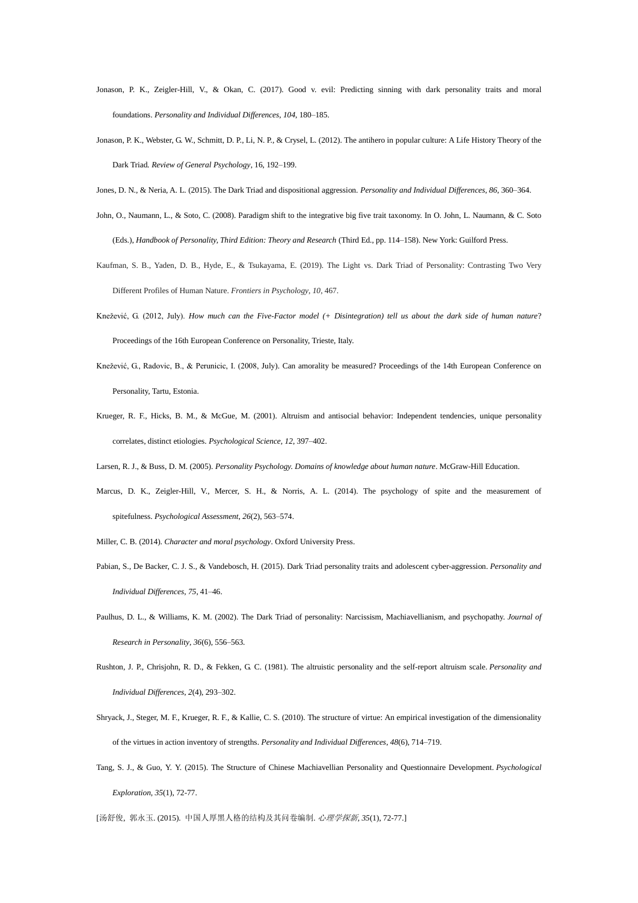- Jonason, P. K., Zeigler-Hill, V., & Okan, C. (2017). Good v. evil: Predicting sinning with dark personality traits and moral foundations. *Personality and Individual Differences*, *104*, 180–185.
- Jonason, P. K., Webster, G. W., Schmitt, D. P., Li, N. P., & Crysel, L. (2012). The antihero in popular culture: A Life History Theory of the Dark Triad*. Review of General Psychology*, 16, 192–199.
- Jones, D. N., & Neria, A. L. (2015). The Dark Triad and dispositional aggression. *Personality and Individual Differences*, *86*, 360–364.
- John, O., Naumann, L., & Soto, C. (2008). Paradigm shift to the integrative big five trait taxonomy. In O. John, L. Naumann, & C. Soto (Eds.), *Handbook of Personality, Third Edition: Theory and Research* (Third Ed., pp. 114–158). New York: Guilford Press.
- Kaufman, S. B., Yaden, D. B., Hyde, E., & Tsukayama, E. (2019). The Light vs. Dark Triad of Personality: Contrasting Two Very Different Profiles of Human Nature. *Frontiers in Psychology*, *10*, 467.
- Knežević, G. (2012, July). *How much can the Five-Factor model (+ Disintegration) tell us about the dark side of human nature*? Proceedings of the 16th European Conference on Personality, Trieste, Italy.
- Knežević, G., Radovic, B., & Perunicic, I. (2008, July). Can amorality be measured? Proceedings of the 14th European Conference on Personality, Tartu, Estonia.
- Krueger, R. F., Hicks, B. M., & McGue, M. (2001). Altruism and antisocial behavior: Independent tendencies, unique personality correlates, distinct etiologies. *Psychological Science, 12*, 397–402.
- Larsen, R. J., & Buss, D. M. (2005). *Personality Psychology. Domains of knowledge about human nature*. McGraw-Hill Education.
- Marcus, D. K., Zeigler-Hill, V., Mercer, S. H., & Norris, A. L. (2014). The psychology of spite and the measurement of spitefulness. *Psychological Assessment*, *26*(2), 563–574.
- Miller, C. B. (2014). *Character and moral psychology*. Oxford University Press.
- Pabian, S., De Backer, C. J. S., & Vandebosch, H. (2015). Dark Triad personality traits and adolescent cyber-aggression. *Personality and Individual Differences*, *75*, 41–46.
- Paulhus, D. L., & Williams, K. M. (2002). The Dark Triad of personality: Narcissism, Machiavellianism, and psychopathy. *Journal of Research in Personality*, *36*(6), 556–563.
- Rushton, J. P., Chrisjohn, R. D., & Fekken, G. C. (1981). The altruistic personality and the self-report altruism scale. *Personality and Individual Differences*, *2*(4), 293–302.
- Shryack, J., Steger, M. F., Krueger, R. F., & Kallie, C. S. (2010). The structure of virtue: An empirical investigation of the dimensionality of the virtues in action inventory of strengths. *Personality and Individual Differences*, *48*(6), 714–719.
- Tang, S. J., & Guo, Y. Y. (2015). The Structure of Chinese Machiavellian Personality and Questionnaire Development. *Psychological Exploration, 35*(1), 72-77.

[汤舒俊, 郭永玉. (2015). 中国人厚黑人格的结构及其问卷编制. 心理学探新*, 35*(1), 72-77.]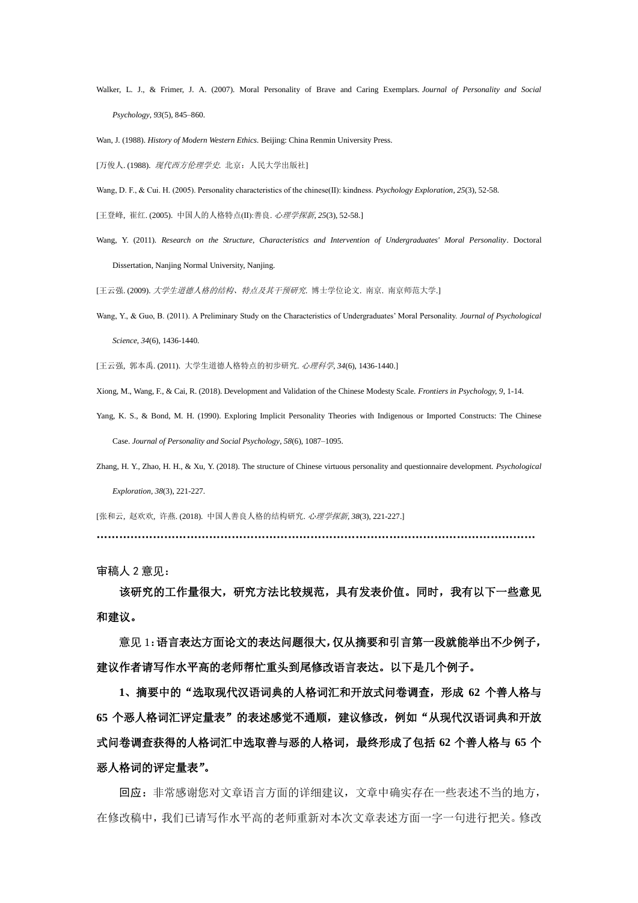- Walker, L. J., & Frimer, J. A. (2007). Moral Personality of Brave and Caring Exemplars. *Journal of Personality and Social Psychology*, *93*(5), 845–860.
- Wan, J. (1988). *History of Modern Western Ethics.* Beijing: China Renmin University Press.

[万俊人. (1988). 现代西方伦理学史*.* 北京:人民大学出版社]

- Wang, D. F., & Cui. H. (2005). Personality characteristics of the chinese(Ⅱ): kindness. *Psychology Exploration, 25*(3), 52-58.
- [王登峰, 崔红. (2005). 中国人的人格特点(Ⅱ):善良. 心理学探新*, 25*(3), 52-58.]
- Wang, Y. (2011). *Research on the Structure, Characteristics and Intervention of Undergraduates' Moral Personality*. Doctoral Dissertation, Nanjing Normal University, Nanjing.

[王云强. (2009). 大学生道德人格的结构、特点及其干预研究. 博士学位论文. 南京. 南京师范大学.]

Wang, Y., & Guo, B. (2011). A Preliminary Study on the Characteristics of Undergraduates' Moral Personality. *Journal of Psychological Science*, *34*(6), 1436-1440.

[王云强, 郭本禹. (2011). 大学生道德人格特点的初步研究. 心理科学, *34*(6), 1436-1440.]

Xiong, M., Wang, F., & Cai, R. (2018). Development and Validation of the Chinese Modesty Scale. *Frontiers in Psychology, 9*, 1-14.

- Yang, K. S., & Bond, M. H. (1990). Exploring Implicit Personality Theories with Indigenous or Imported Constructs: The Chinese Case. *Journal of Personality and Social Psychology*, *58*(6), 1087–1095.
- Zhang, H. Y., Zhao, H. H., & Xu, Y. (2018). The structure of Chinese virtuous personality and questionnaire development. *Psychological Exploration, 38*(3), 221-227.

[张和云, 赵欢欢, 许燕. (2018). 中国人善良人格的结构研究. 心理学探新*, 38*(3), 221-227.]

………………………………………………………………………………………………………

审稿人 2 意见:

该研究的工作量很大,研究方法比较规范,具有发表价值。同时,我有以下一些意见 和建议。

意见 1:语言表达方面论文的表达问题很大,仅从摘要和引言第一段就能举出不少例子, 建议作者请写作水平高的老师帮忙重头到尾修改语言表达。以下是几个例子。

**1**、摘要中的"选取现代汉语词典的人格词汇和开放式问卷调查,形成 **62** 个善人格与 **65** 个恶人格词汇评定量表"的表述感觉不通顺,建议修改,例如"从现代汉语词典和开放 式问卷调查获得的人格词汇中选取善与恶的人格词,最终形成了包括 **62** 个善人格与 **65** 个 恶人格词的评定量表"。

回应:非常感谢您对文章语言方面的详细建议,文章中确实存在一些表述不当的地方, 在修改稿中,我们已请写作水平高的老师重新对本次文章表述方面一字一句进行把关。修改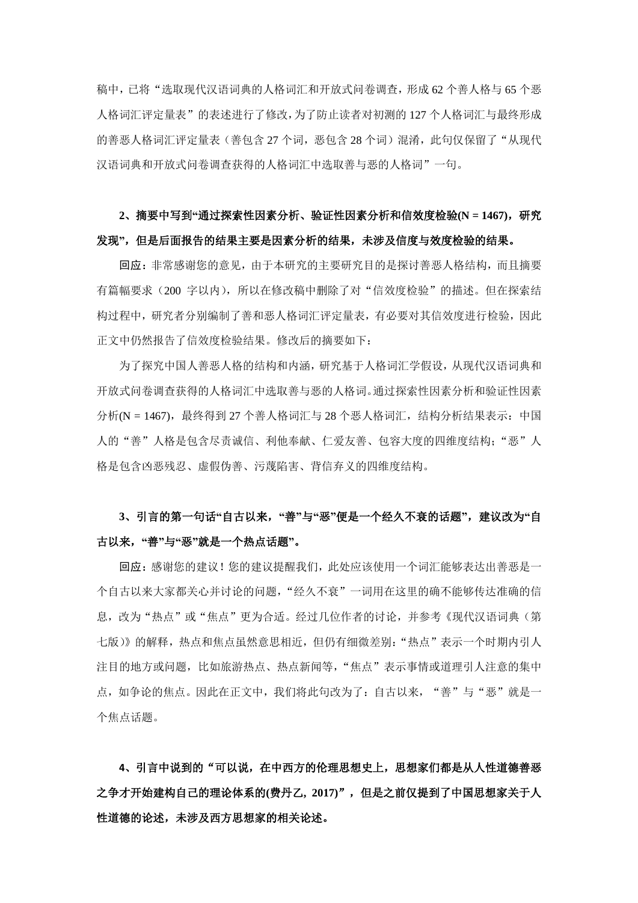稿中,已将"选取现代汉语词典的人格词汇和开放式问卷调查,形成 62 个善人格与 65 个恶 人格词汇评定量表"的表述进行了修改,为了防止读者对初测的 127 个人格词汇与最终形成 的善恶人格词汇评定量表(善包含 27 个词,恶包含 28 个词)混淆,此句仅保留了"从现代 汉语词典和开放式问卷调查获得的人格词汇中选取善与恶的人格词"一句。

## **2**、摘要中写到**"**通过探索性因素分析、验证性因素分析和信效度检验**(N = 1467)**,研究 发现**"**,但是后面报告的结果主要是因素分析的结果,未涉及信度与效度检验的结果。

回应:非常感谢您的意见,由于本研究的主要研究目的是探讨善恶人格结构,而且摘要 有篇幅要求(200 字以内),所以在修改稿中删除了对"信效度检验"的描述。但在探索结 构过程中,研究者分别编制了善和恶人格词汇评定量表,有必要对其信效度进行检验,因此 正文中仍然报告了信效度检验结果。修改后的摘要如下:

为了探究中国人善恶人格的结构和内涵,研究基于人格词汇学假设,从现代汉语词典和 开放式问卷调查获得的人格词汇中选取善与恶的人格词。通过探索性因素分析和验证性因素 分析(N = 1467), 最终得到 27 个善人格词汇与 28 个恶人格词汇, 结构分析结果表示: 中国 人的"善"人格是包含尽责诚信、利他奉献、仁爱友善、包容大度的四维度结构;"恶"人 格是包含凶恶残忍、虚假伪善、污蔑陷害、背信弃义的四维度结构。

## **3**、引言的第一句话**"**自古以来,**"**善**"**与**"**恶**"**便是一个经久不衰的话题**"**,建议改为**"**自 古以来,**"**善**"**与**"**恶**"**就是一个热点话题**"**。

回应: 感谢您的建议! 您的建议提醒我们, 此处应该使用一个词汇能够表达出善恶是一 个自古以来大家都关心并讨论的问题,"经久不衰"一词用在这里的确不能够传达准确的信 息,改为"热点"或"焦点"更为合适。经过几位作者的讨论,并参考《现代汉语词典(第 七版)》的解释,热点和焦点虽然意思相近,但仍有细微差别:"热点"表示一个时期内引人 注目的地方或问题,比如旅游热点、热点新闻等,"焦点"表示事情或道理引人注意的集中 点,如争论的焦点。因此在正文中,我们将此句改为了:自古以来,"善"与"恶"就是一 个焦点话题。

**4**、引言中说到的"可以说,在中西方的伦理思想史上,思想家们都是从人性道德善恶 之争才开始建构自己的理论体系的**(**费丹乙**, 2017)**",但是之前仅提到了中国思想家关于人 性道德的论述,未涉及西方思想家的相关论述。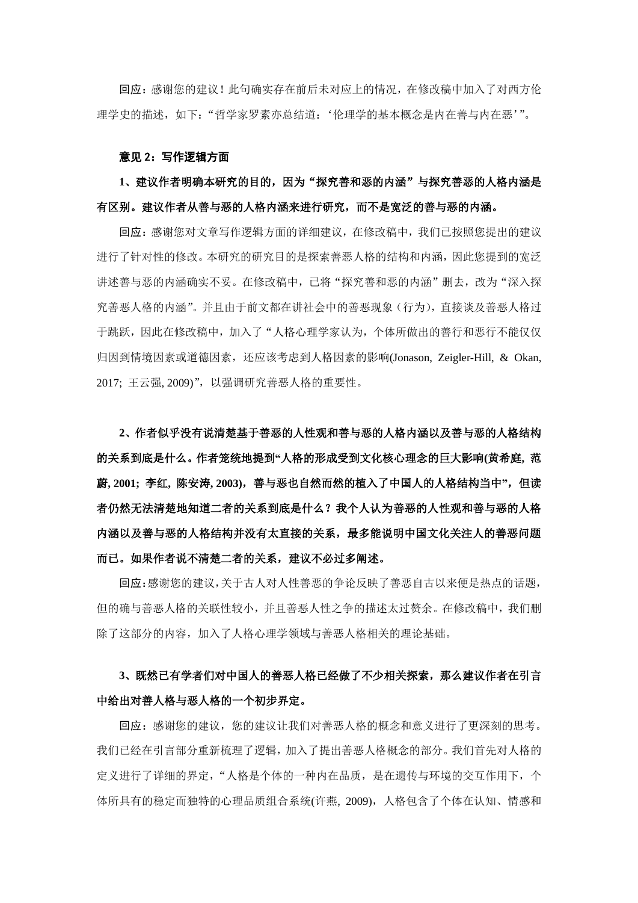回应:感谢您的建议!此句确实存在前后未对应上的情况,在修改稿中加入了对西方伦 理学史的描述,如下:"哲学家罗素亦总结道:'伦理学的基本概念是内在善与内在恶'"。

#### 意见 2:写作逻辑方面

## **1**、建议作者明确本研究的目的,因为"探究善和恶的内涵"与探究善恶的人格内涵是 有区别。建议作者从善与恶的人格内涵来进行研究,而不是宽泛的善与恶的内涵。

回应:感谢您对文章写作逻辑方面的详细建议,在修改稿中,我们已按照您提出的建议 进行了针对性的修改。本研究的研究目的是探索善恶人格的结构和内涵,因此您提到的宽泛 讲述善与恶的内涵确实不妥。在修改稿中,已将"探究善和恶的内涵"删去,改为"深入探 究善恶人格的内涵"。并且由于前文都在讲社会中的善恶现象(行为),直接谈及善恶人格过 于跳跃,因此在修改稿中,加入了"人格心理学家认为,个体所做出的善行和恶行不能仅仅 归因到情境因素或道德因素,还应该考虑到人格因素的影响(Jonason, Zeigler-Hill, & Okan, 2017; 王云强, 2009)",以强调研究善恶人格的重要性。

**2**、作者似乎没有说清楚基于善恶的人性观和善与恶的人格内涵以及善与恶的人格结构 的关系到底是什么。作者笼统地提到**"**人格的形成受到文化核心理念的巨大影响**(**黄希庭**,** 范 蔚**, 2001;** 李红**,** 陈安涛**, 2003)**,善与恶也自然而然的植入了中国人的人格结构当中**"**,但读 者仍然无法清楚地知道二者的关系到底是什么?我个人认为善恶的人性观和善与恶的人格 内涵以及善与恶的人格结构并没有太直接的关系,最多能说明中国文化关注人的善恶问题 而已。如果作者说不清楚二者的关系,建议不必过多阐述。

回应:感谢您的建议,关于古人对人性善恶的争论反映了善恶自古以来便是热点的话题, 但的确与善恶人格的关联性较小,并且善恶人性之争的描述太过赘余。在修改稿中,我们删 除了这部分的内容,加入了人格心理学领域与善恶人格相关的理论基础。

## **3**、既然已有学者们对中国人的善恶人格已经做了不少相关探索,那么建议作者在引言 中给出对善人格与恶人格的一个初步界定。

回应:感谢您的建议,您的建议让我们对善恶人格的概念和意义进行了更深刻的思考。 我们已经在引言部分重新梳理了逻辑,加入了提出善恶人格概念的部分。我们首先对人格的 定义进行了详细的界定,"人格是个体的一种内在品质,是在遗传与环境的交互作用下,个 体所具有的稳定而独特的心理品质组合系统(许燕, 2009),人格包含了个体在认知、情感和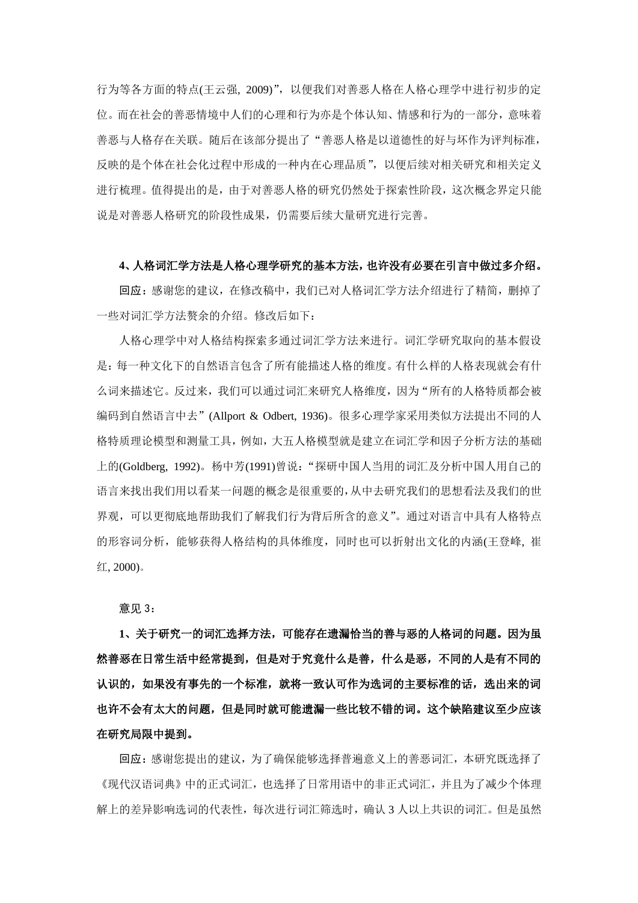行为等各方面的特点(王云强, 2009)",以便我们对善恶人格在人格心理学中进行初步的定 位。而在社会的善恶情境中人们的心理和行为亦是个体认知、情感和行为的一部分,意味着 善恶与人格存在关联。随后在该部分提出了"善恶人格是以道德性的好与坏作为评判标准, 反映的是个体在社会化过程中形成的一种内在心理品质",以便后续对相关研究和相关定义 进行梳理。值得提出的是,由于对善恶人格的研究仍然处于探索性阶段,这次概念界定只能 说是对善恶人格研究的阶段性成果,仍需要后续大量研究进行完善。

#### **4**、人格词汇学方法是人格心理学研究的基本方法,也许没有必要在引言中做过多介绍。

回应: 感谢您的建议, 在修改稿中, 我们已对人格词汇学方法介绍进行了精简, 删掉了 一些对词汇学方法赘余的介绍。修改后如下:

人格心理学中对人格结构探索多通过词汇学方法来进行。词汇学研究取向的基本假设 是:每一种文化下的自然语言包含了所有能描述人格的维度。有什么样的人格表现就会有什 么词来描述它。反过来,我们可以通过词汇来研究人格维度,因为"所有的人格特质都会被 编码到自然语言中去"(Allport & Odbert, 1936)。很多心理学家采用类似方法提出不同的人 格特质理论模型和测量工具,例如,大五人格模型就是建立在词汇学和因子分析方法的基础 上的(Goldberg, 1992)。杨中芳(1991)曾说:"探研中国人当用的词汇及分析中国人用自己的 语言来找出我们用以看某一问题的概念是很重要的,从中去研究我们的思想看法及我们的世 界观,可以更彻底地帮助我们了解我们行为背后所含的意义"。通过对语言中具有人格特点 的形容词分析,能够获得人格结构的具体维度,同时也可以折射出文化的内涵(王登峰, 崔 红, 2000)。

意见 3:

**1**、关于研究一的词汇选择方法,可能存在遗漏恰当的善与恶的人格词的问题。因为虽 然善恶在日常生活中经常提到,但是对于究竟什么是善,什么是恶,不同的人是有不同的 认识的,如果没有事先的一个标准,就将一致认可作为选词的主要标准的话,选出来的词 也许不会有太大的问题,但是同时就可能遗漏一些比较不错的词。这个缺陷建议至少应该 在研究局限中提到。

回应:感谢您提出的建议,为了确保能够选择普遍意义上的善恶词汇,本研究既选择了 《现代汉语词典》中的正式词汇,也选择了日常用语中的非正式词汇,并且为了减少个体理 解上的差异影响选词的代表性,每次进行词汇筛选时,确认 3 人以上共识的词汇。但是虽然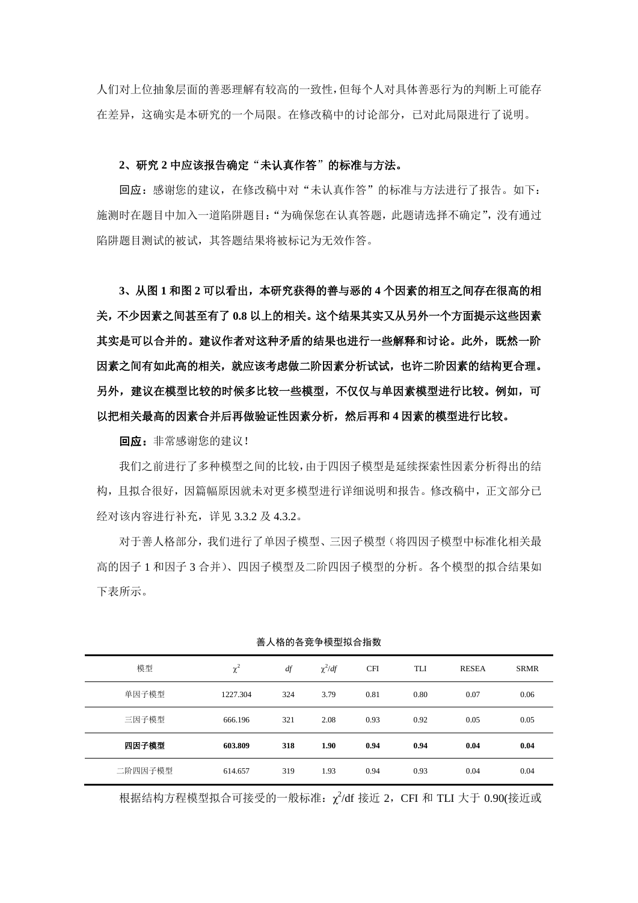人们对上位抽象层面的善恶理解有较高的一致性,但每个人对具体善恶行为的判断上可能存 在差异,这确实是本研究的一个局限。在修改稿中的讨论部分,已对此局限进行了说明。

#### **2**、研究 **2** 中应该报告确定"未认真作答"的标准与方法。

回应: 感谢您的建议, 在修改稿中对"未认真作答"的标准与方法进行了报告。如下: 施测时在题目中加入一道陷阱题目:"为确保您在认真答题,此题请选择不确定",没有通过 陷阱题目测试的被试,其答题结果将被标记为无效作答。

**3**、从图 **1** 和图 **2** 可以看出,本研究获得的善与恶的 **4** 个因素的相互之间存在很高的相 关,不少因素之间甚至有了 **0.8** 以上的相关。这个结果其实又从另外一个方面提示这些因素 其实是可以合并的。建议作者对这种矛盾的结果也进行一些解释和讨论。此外,既然一阶 因素之间有如此高的相关,就应该考虑做二阶因素分析试试,也许二阶因素的结构更合理。 另外,建议在模型比较的时候多比较一些模型,不仅仅与单因素模型进行比较。例如,可 以把相关最高的因素合并后再做验证性因素分析,然后再和 **4** 因素的模型进行比较。

回应: 非常感谢您的建议!

我们之前进行了多种模型之间的比较,由于四因子模型是延续探索性因素分析得出的结 构,且拟合很好,因篇幅原因就未对更多模型进行详细说明和报告。修改稿中,正文部分已 经对该内容进行补充,详见 3.3.2 及 4.3.2。

对于善人格部分,我们进行了单因子模型、三因子模型(将四因子模型中标准化相关最 高的因子 1 和因子 3 合并)、四因子模型及二阶四因子模型的分析。各个模型的拟合结果如 下表所示。

| 模型      | $\chi^2$ | df  | $\chi^2/df$ | <b>CFI</b> | <b>TLI</b> | <b>RESEA</b> | <b>SRMR</b> |
|---------|----------|-----|-------------|------------|------------|--------------|-------------|
| 单因子模型   | 1227.304 | 324 | 3.79        | 0.81       | 0.80       | 0.07         | 0.06        |
| 三因子模型   | 666.196  | 321 | 2.08        | 0.93       | 0.92       | 0.05         | 0.05        |
| 四因子模型   | 603.809  | 318 | 1.90        | 0.94       | 0.94       | 0.04         | 0.04        |
| 二阶四因子模型 | 614.657  | 319 | 1.93        | 0.94       | 0.93       | 0.04         | 0.04        |

善人格的各竞争模型拟合指数

根据结构方程模型拟合可接受的一般标准:  $\chi^2$ /df 接近 2, CFI 和 TLI 大于 0.90(接近或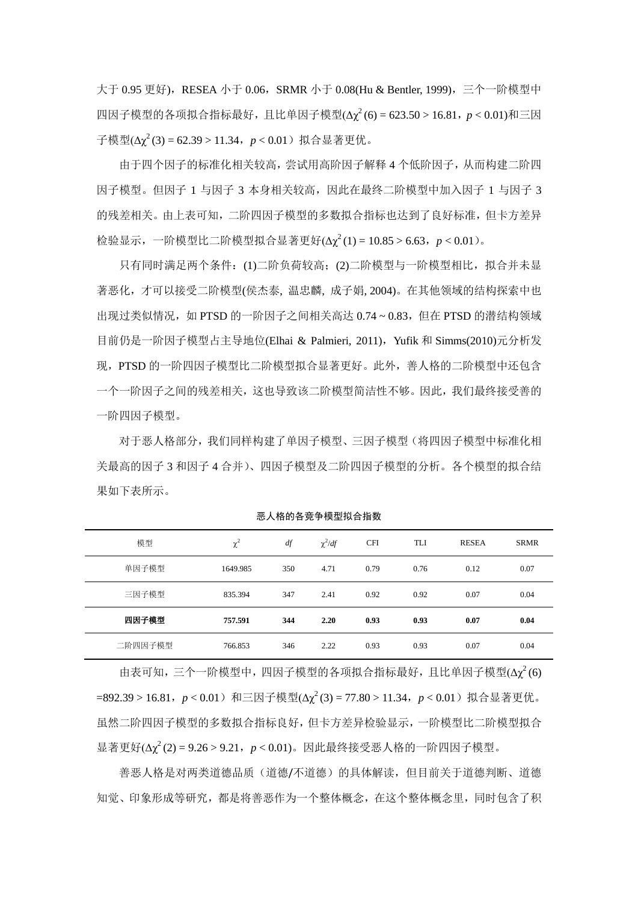大于 0.95 更好), RESEA 小于 0.06, SRMR 小于 0.08(Hu & Bentler, 1999), 三个一阶模型中 四因子模型的各项拟合指标最好,且比单因子模型(Δχ<sup>2</sup>(6) = 623.50 > 16.81,*p* < 0.01)和三因 子模型(Δγ<sup>2</sup>(3) = 62.39 > 11.34, p < 0.01) 拟合显著更优。

由于四个因子的标准化相关较高,尝试用高阶因子解释 4 个低阶因子,从而构建二阶四 因子模型。但因子 1 与因子 3 本身相关较高,因此在最终二阶模型中加入因子 1 与因子 3 的残差相关。由上表可知,二阶四因子模型的多数拟合指标也达到了良好标准,但卡方差异 检验显示,一阶模型比二阶模型拟合显著更好(Δχ<sup>2</sup>(1) = 10.85 > 6.63,*p* < 0.01)。

只有同时满足两个条件:(1)二阶负荷较高;(2)二阶模型与一阶模型相比,拟合并未显 著恶化,才可以接受二阶模型(侯杰泰, 温忠麟, 成子娟, 2004)。在其他领域的结构探索中也 出现过类似情况,如 PTSD 的一阶因子之间相关高达 0.74 ~ 0.83, 但在 PTSD 的潜结构领域 目前仍是一阶因子模型占主导地位(Elhai & Palmieri, 2011),Yufik 和 Simms(2010)元分析发 现,PTSD 的一阶四因子模型比二阶模型拟合显著更好。此外,善人格的二阶模型中还包含 一个一阶因子之间的残差相关,这也导致该二阶模型简洁性不够。因此,我们最终接受善的 一阶四因子模型。

对于恶人格部分,我们同样构建了单因子模型、三因子模型(将四因子模型中标准化相 关最高的因子 3 和因子 4 合并)、四因子模型及二阶四因子模型的分析。各个模型的拟合结 果如下表所示。

| 模型      | $\chi^2$ | df  | $\chi^2/df$ | <b>CFI</b> | <b>TLI</b> | <b>RESEA</b> | <b>SRMR</b> |
|---------|----------|-----|-------------|------------|------------|--------------|-------------|
| 单因子模型   | 1649.985 | 350 | 4.71        | 0.79       | 0.76       | 0.12         | 0.07        |
| 三因子模型   | 835.394  | 347 | 2.41        | 0.92       | 0.92       | 0.07         | 0.04        |
| 四因子模型   | 757.591  | 344 | 2.20        | 0.93       | 0.93       | 0.07         | 0.04        |
| 二阶四因子模型 | 766.853  | 346 | 2.22        | 0.93       | 0.93       | 0.07         | 0.04        |

恶人格的各竞争模型拟合指数

由表可知,三个一阶模型中,四因子模型的各项拟合指标最好,且比单因子模型(Δχ<sup>2</sup>(6) =892.39 > 16.81, p < 0.01)和三因子模型(Δγ<sup>2</sup>(3) = 77.80 > 11.34, p < 0.01)拟合显著更优。 虽然二阶四因子模型的多数拟合指标良好,但卡方差异检验显示,一阶模型比二阶模型拟合 显著更好(Δγ<sup>2</sup>(2) = 9.26 > 9.21, p < 0.01)。因此最终接受恶人格的一阶四因子模型。

善恶人格是对两类道德品质(道德/不道德)的具体解读,但目前关于道德判断、道德 知觉、印象形成等研究,都是将善恶作为一个整体概念,在这个整体概念里,同时包含了积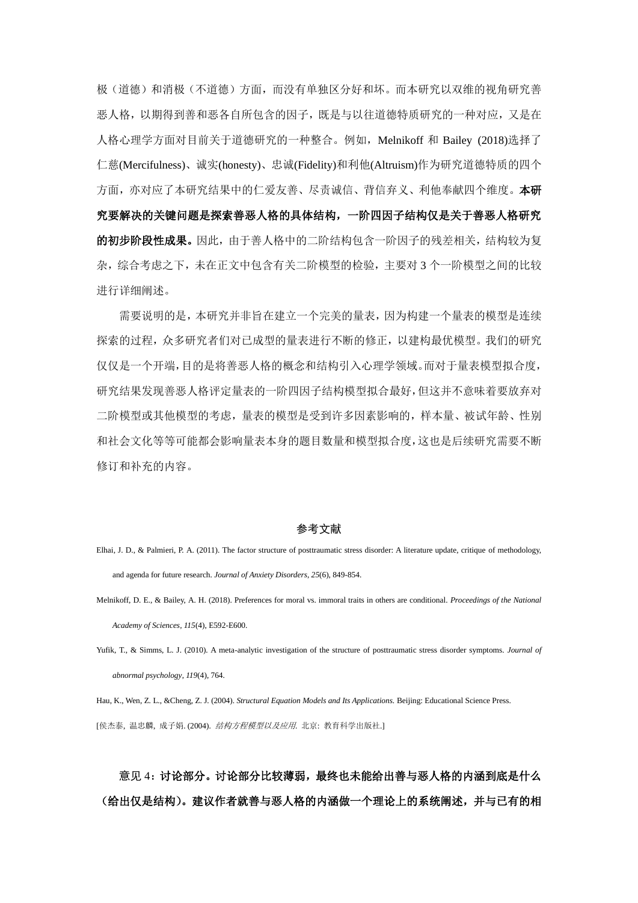极(道德)和消极(不道德)方面,而没有单独区分好和坏。而本研究以双维的视角研究善 恶人格,以期得到善和恶各自所包含的因子,既是与以往道德特质研究的一种对应,又是在 人格心理学方面对目前关于道德研究的一种整合。例如,Melnikoff 和 Bailey (2018)选择了 仁慈(Mercifulness)、诚实(honesty)、忠诚(Fidelity)和利他(Altruism)作为研究道德特质的四个 方面,亦对应了本研究结果中的仁爱友善、尽责诚信、背信弃义、利他奉献四个维度。本研 究要解决的关键问题是探索善恶人格的具体结构,一阶四因子结构仅是关于善恶人格研究 的初步阶段性成果。因此,由于善人格中的二阶结构包含一阶因子的残差相关,结构较为复 杂,综合考虑之下,未在正文中包含有关二阶模型的检验,主要对 3 个一阶模型之间的比较 进行详细阐述。

需要说明的是,本研究并非旨在建立一个完美的量表,因为构建一个量表的模型是连续 探索的过程,众多研究者们对已成型的量表进行不断的修正,以建构最优模型。我们的研究 仅仅是一个开端,目的是将善恶人格的概念和结构引入心理学领域。而对于量表模型拟合度, 研究结果发现善恶人格评定量表的一阶四因子结构模型拟合最好,但这并不意味着要放弃对 二阶模型或其他模型的考虑,量表的模型是受到许多因素影响的,样本量、被试年龄、性别 和社会文化等等可能都会影响量表本身的题目数量和模型拟合度,这也是后续研究需要不断 修订和补充的内容。

#### 参考文献

- Elhai, J. D., & Palmieri, P. A. (2011). The factor structure of posttraumatic stress disorder: A literature update, critique of methodology, and agenda for future research. *Journal of Anxiety Disorders*, *25*(6), 849-854.
- Melnikoff, D. E., & Bailey, A. H. (2018). Preferences for moral vs. immoral traits in others are conditional. *Proceedings of the National Academy of Sciences, 115*(4), E592-E600.
- Yufik, T., & Simms, L. J. (2010). A meta-analytic investigation of the structure of posttraumatic stress disorder symptoms. *Journal of abnormal psychology*, *119*(4), 764.

Hau, K., Wen, Z. L., &Cheng, Z. J. (2004). *Structural Equation Models and Its Applications.* Beijing: Educational Science Press. [侯杰泰, 温忠麟, 成子娟. (2004). 结构方程模型以及应用. 北京: 教育科学出版社.]

# 意见 4: 讨论部分。讨论部分比较薄弱,最终也未能给出善与恶人格的内涵到底是什么 (给出仅是结构)。建议作者就善与恶人格的内涵做一个理论上的系统阐述,并与已有的相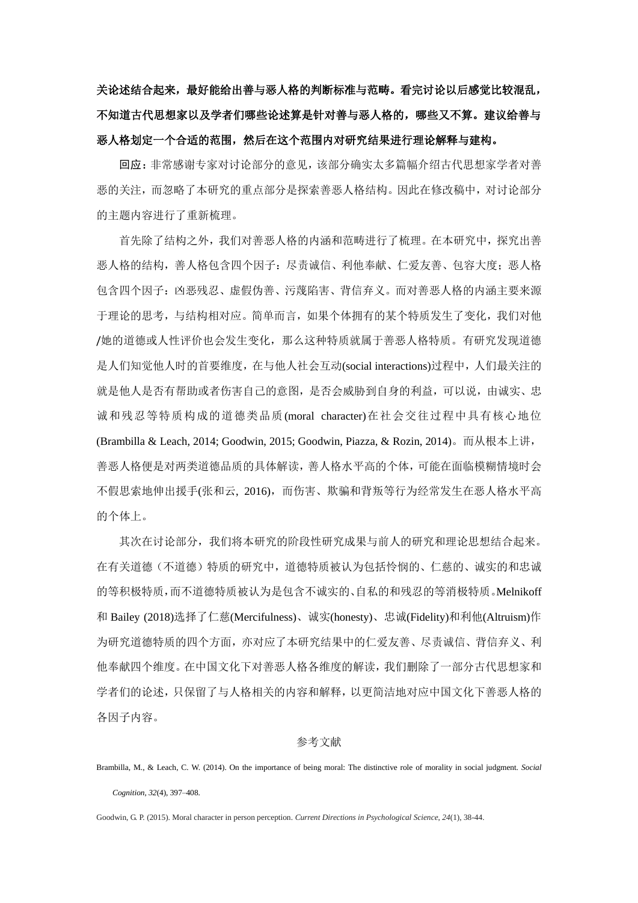关论述结合起来,最好能给出善与恶人格的判断标准与范畴。看完讨论以后感觉比较混乱, 不知道古代思想家以及学者们哪些论述算是针对善与恶人格的,哪些又不算。建议给善与 恶人格划定一个合适的范围,然后在这个范围内对研究结果进行理论解释与建构。

回应:非常感谢专家对讨论部分的意见,该部分确实太多篇幅介绍古代思想家学者对善 恶的关注,而忽略了本研究的重点部分是探索善恶人格结构。因此在修改稿中,对讨论部分 的主题内容进行了重新梳理。

首先除了结构之外,我们对善恶人格的内涵和范畴进行了梳理。在本研究中,探究出善 恶人格的结构,善人格包含四个因子:尽责诚信、利他奉献、仁爱友善、包容大度;恶人格 包含四个因子:凶恶残忍、虚假伪善、污蔑陷害、背信弃义。而对善恶人格的内涵主要来源 于理论的思考,与结构相对应。简单而言,如果个体拥有的某个特质发生了变化,我们对他 /她的道德或人性评价也会发生变化,那么这种特质就属于善恶人格特质。有研究发现道德 是人们知觉他人时的首要维度, 在与他人社会互动(social interactions)过程中, 人们最关注的 就是他人是否有帮助或者伤害自己的意图,是否会威胁到自身的利益,可以说,由诚实、忠 诚和残忍等特质构成的道德类品质(moral character)在社会交往过程中具有核心地位 (Brambilla & Leach, 2014; Goodwin, 2015; Goodwin, Piazza, & Rozin, 2014)。而从根本上讲, 善恶人格便是对两类道德品质的具体解读,善人格水平高的个体,可能在面临模糊情境时会 不假思索地伸出援手(张和云, 2016),而伤害、欺骗和背叛等行为经常发生在恶人格水平高 的个体上。

其次在讨论部分,我们将本研究的阶段性研究成果与前人的研究和理论思想结合起来。 在有关道德(不道德)特质的研究中,道德特质被认为包括怜悯的、仁慈的、诚实的和忠诚 的等积极特质,而不道德特质被认为是包含不诚实的、自私的和残忍的等消极特质。Melnikoff 和 Bailey (2018)选择了仁慈(Mercifulness)、诚实(honesty)、忠诚(Fidelity)和利他(Altruism)作 为研究道德特质的四个方面,亦对应了本研究结果中的仁爱友善、尽责诚信、背信弃义、利 他奉献四个维度。在中国文化下对善恶人格各维度的解读,我们删除了一部分古代思想家和 学者们的论述,只保留了与人格相关的内容和解释,以更简洁地对应中国文化下善恶人格的 各因子内容。

#### 参考文献

Goodwin, G. P. (2015). Moral character in person perception. *Current Directions in Psychological Science*, *24*(1), 38-44.

Brambilla, M., & Leach, C. W. (2014). On the importance of being moral: The distinctive role of morality in social judgment. *Social Cognition, 32*(4), 397–408.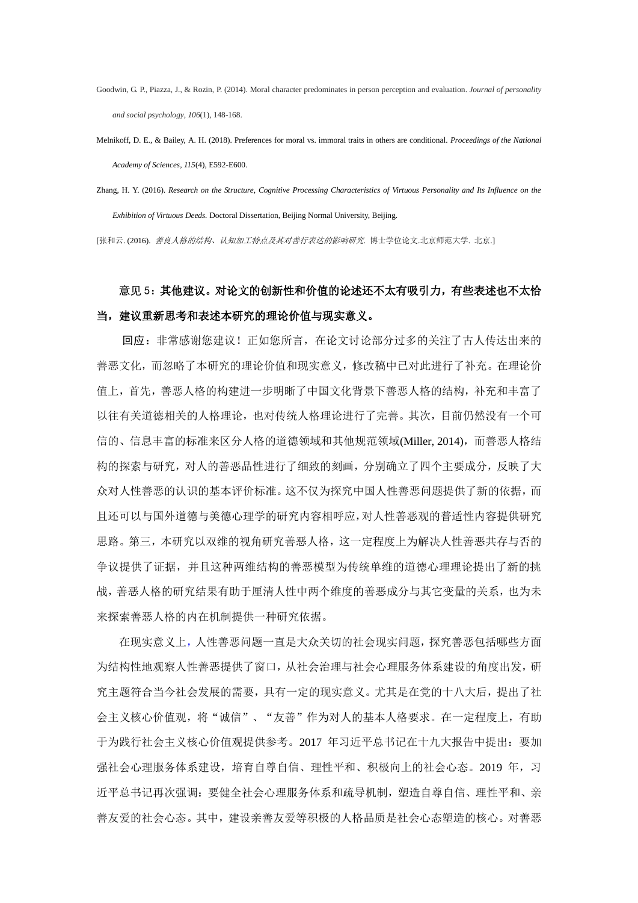- Goodwin, G. P., Piazza, J., & Rozin, P. (2014). Moral character predominates in person perception and evaluation. *Journal of personality and social psychology*, *106*(1), 148-168.
- Melnikoff, D. E., & Bailey, A. H. (2018). Preferences for moral vs. immoral traits in others are conditional. *Proceedings of the National Academy of Sciences, 115*(4), E592-E600.
- Zhang, H. Y. (2016). *Research on the Structure, Cognitive Processing Characteristics of Virtuous Personality and Its Influence on the Exhibition of Virtuous Deeds.* Doctoral Dissertation, Beijing Normal University, Beijing.

[张和云. (2016). 善良人格的结构、认知加工特点及其对善行表达的影响研究*.* 博士学位论文.北京师范大学. 北京.]

## 意见 5: 其他建议。对论文的创新性和价值的论述还不太有吸引力, 有些表述也不太恰 当,建议重新思考和表述本研究的理论价值与现实意义。

回应:非常感谢您建议!正如您所言,在论文讨论部分过多的关注了古人传达出来的 善恶文化,而忽略了本研究的理论价值和现实意义,修改稿中已对此进行了补充。在理论价 值上,首先,善恶人格的构建进一步明晰了中国文化背景下善恶人格的结构,补充和丰富了 以往有关道德相关的人格理论,也对传统人格理论进行了完善。其次,目前仍然没有一个可 信的、信息丰富的标准来区分人格的道德领域和其他规范领域(Miller, 2014),而善恶人格结 构的探索与研究,对人的善恶品性进行了细致的刻画,分别确立了四个主要成分,反映了大 众对人性善恶的认识的基本评价标准。这不仅为探究中国人性善恶问题提供了新的依据,而 且还可以与国外道德与美德心理学的研究内容相呼应,对人性善恶观的普适性内容提供研究 思路。第三,本研究以双维的视角研究善恶人格,这一定程度上为解决人性善恶共存与否的 争议提供了证据,并且这种两维结构的善恶模型为传统单维的道德心理理论提出了新的挑 战,善恶人格的研究结果有助于厘清人性中两个维度的善恶成分与其它变量的关系,也为未 来探索善恶人格的内在机制提供一种研究依据。

在现实意义上,人性善恶问题一直是大众关切的社会现实问题,探究善恶包括哪些方面 为结构性地观察人性善恶提供了窗口,从社会治理与社会心理服务体系建设的角度出发,研 究主题符合当今社会发展的需要,具有一定的现实意义。尤其是在党的十八大后,提出了社 会主义核心价值观,将"诚信"、"友善"作为对人的基本人格要求。在一定程度上,有助 于为践行社会主义核心价值观提供参考。2017 年习近平总书记在十九大报告中提出:要加 强社会心理服务体系建设,培育自尊自信、理性平和、积极向上的社会心态。2019 年,习 近平总书记再次强调:要健全社会心理服务体系和疏导机制,塑造自尊自信、理性平和、亲 善友爱的社会心态。其中,建设亲善友爱等积极的人格品质是社会心态塑造的核心。对善恶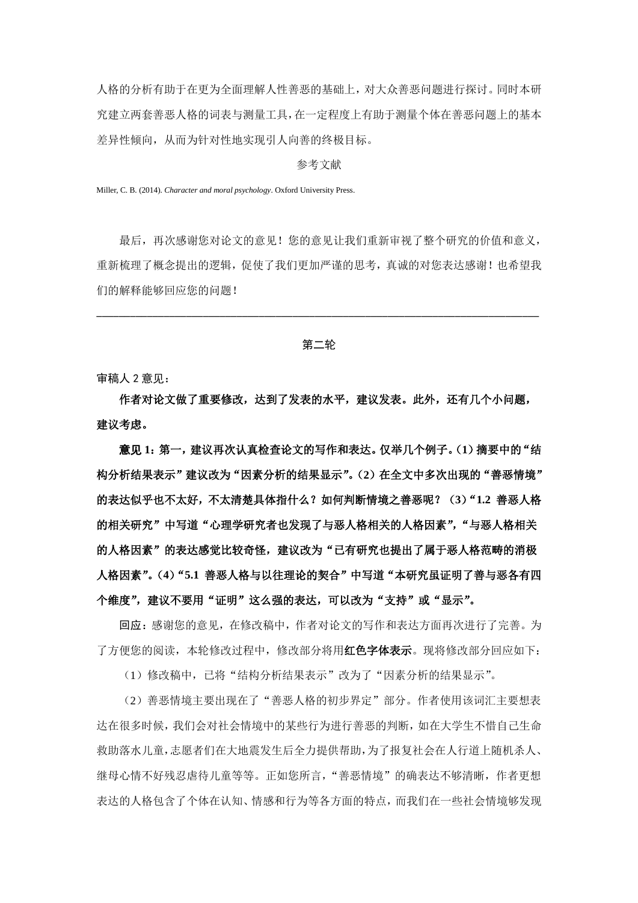人格的分析有助于在更为全面理解人性善恶的基础上,对大众善恶问题进行探讨。同时本研 究建立两套善恶人格的词表与测量工具,在一定程度上有助于测量个体在善恶问题上的基本 差异性倾向,从而为针对性地实现引人向善的终极目标。

#### 参考文献

Miller, C. B. (2014). *Character and moral psychology*. Oxford University Press.

最后,再次感谢您对论文的意见!您的意见让我们重新审视了整个研究的价值和意义, 重新梳理了概念提出的逻辑,促使了我们更加严谨的思考,真诚的对您表达感谢!也希望我 们的解释能够回应您的问题!

第二轮

\_\_\_\_\_\_\_\_\_\_\_\_\_\_\_\_\_\_\_\_\_\_\_\_\_\_\_\_\_\_\_\_\_\_\_\_\_\_\_\_\_\_\_\_\_\_\_\_\_\_\_\_\_\_\_\_\_\_\_\_\_\_\_\_\_\_\_\_\_\_\_\_\_\_\_\_\_\_\_

审稿人 2 意见:

作者对论文做了重要修改,达到了发表的水平,建议发表。此外,还有几个小问题, 建议考虑。

意见 **1**:第一,建议再次认真检查论文的写作和表达。仅举几个例子。(**1**)摘要中的"结 构分析结果表示"建议改为"因素分析的结果显示"。(**2**)在全文中多次出现的"善恶情境" 的表达似乎也不太好,不太清楚具体指什么?如何判断情境之善恶呢?(**3**)"**1.2** 善恶人格 的相关研究"中写道"心理学研究者也发现了与恶人格相关的人格因素", "与恶人格相关 的人格因素"的表达感觉比较奇怪,建议改为"已有研究也提出了属于恶人格范畴的消极 人格因素"。(**4**)"**5.1** 善恶人格与以往理论的契合"中写道"本研究虽证明了善与恶各有四 个维度",建议不要用"证明"这么强的表达,可以改为"支持"或"显示"。

回应:感谢您的意见,在修改稿中,作者对论文的写作和表达方面再次进行了完善。为 了方便您的阅读,本轮修改过程中,修改部分将用**红色字体表示**。现将修改部分回应如下:

(1)修改稿中,已将"结构分析结果表示"改为了"因素分析的结果显示"。

(2)善恶情境主要出现在了"善恶人格的初步界定"部分。作者使用该词汇主要想表 达在很多时候,我们会对社会情境中的某些行为进行善恶的判断,如在大学生不惜自己生命 救助落水儿童,志愿者们在大地震发生后全力提供帮助,为了报复社会在人行道上随机杀人、 继母心情不好残忍虐待儿童等等。正如您所言,"善恶情境"的确表达不够清晰,作者更想 表达的人格包含了个体在认知、情感和行为等各方面的特点,而我们在一些社会情境够发现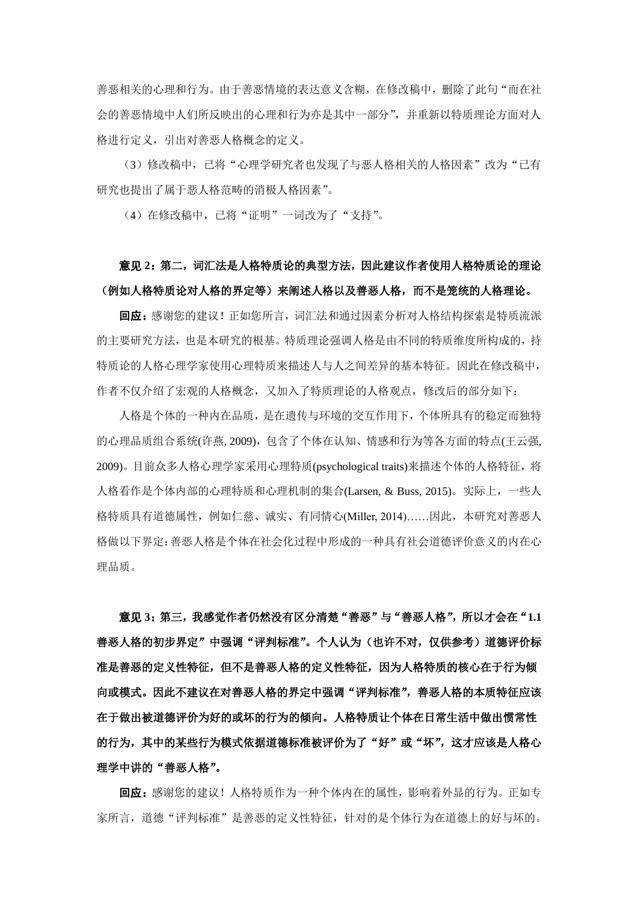善恶相关的心理和行为。由于善恶情境的表达意义含糊,在修改稿中,删除了此句"而在社 会的善恶情境中人们所反映出的心理和行为亦是其中一部分",并重新以特质理论方面对人 格进行定义,引出对善恶人格概念的定义。

(3)修改稿中,已将"心理学研究者也发现了与恶人格相关的人格因素"改为"已有 研究也提出了属于恶人格范畴的消极人格因素"。

(4)在修改稿中,已将"证明"一词改为了"支持"。

## 意见 **2**:第二,词汇法是人格特质论的典型方法,因此建议作者使用人格特质论的理论 (例如人格特质论对人格的界定等)来阐述人格以及善恶人格,而不是笼统的人格理论。

回应:感谢您的建议!正如您所言,词汇法和通过因素分析对人格结构探索是特质流派 的主要研究方法,也是本研究的根基。特质理论强调人格是由不同的特质维度所构成的,持 特质论的人格心理学家使用心理特质来描述人与人之间差异的基本特征。因此在修改稿中, 作者不仅介绍了宏观的人格概念,又加入了特质理论的人格观点,修改后的部分如下:

人格是个体的一种内在品质,是在遗传与环境的交互作用下,个体所具有的稳定而独特 的心理品质组合系统(许燕, 2009),包含了个体在认知、情感和行为等各方面的特点(王云强, 2009)。目前众多人格心理学家采用心理特质(psychological traits)来描述个体的人格特征,将 人格看作是个体内部的心理特质和心理机制的集合(Larsen, & Buss, 2015)。实际上,一些人 格特质具有道德属性,例如仁慈、诚实、有同情心(Miller, 2014)……因此,本研究对善恶人 格做以下界定:善恶人格是个体在社会化过程中形成的一种具有社会道德评价意义的内在心 理品质。

意见 **3**:第三,我感觉作者仍然没有区分清楚"善恶"与"善恶人格",所以才会在"**1.1** 善恶人格的初步界定"中强调"评判标准"。个人认为(也许不对,仅供参考)道德评价标 准是善恶的定义性特征,但不是善恶人格的定义性特征,因为人格特质的核心在于行为倾 向或模式。因此不建议在对善恶人格的界定中强调"评判标准",善恶人格的本质特征应该 在于做出被道德评价为好的或坏的行为的倾向。人格特质让个体在日常生活中做出惯常性 的行为,其中的某些行为模式依据道德标准被评价为了"好"或"坏",这才应该是人格心 理学中讲的"善恶人格"。

回应:感谢您的建议!人格特质作为一种个体内在的属性,影响着外显的行为。正如专 家所言,道德"评判标准"是善恶的定义性特征,针对的是个体行为在道德上的好与坏的。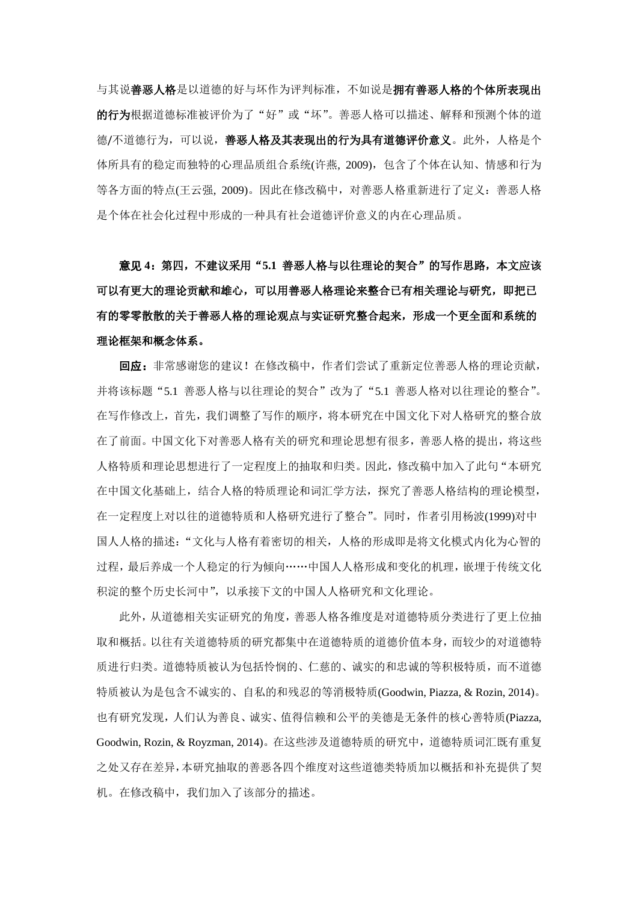与其说善恶人格是以道德的好与坏作为评判标准,不如说是拥有善恶人格的个体所表现出 的行为根据道德标准被评价为了"好"或"坏"。善恶人格可以描述、解释和预测个体的道 德/不道德行为,可以说,善恶人格及其表现出的行为具有道德评价意义。此外,人格是个 体所具有的稳定而独特的心理品质组合系统(许燕, 2009),包含了个体在认知、情感和行为 等各方面的特点(王云强, 2009)。因此在修改稿中,对善恶人格重新进行了定义:善恶人格 是个体在社会化过程中形成的一种具有社会道德评价意义的内在心理品质。

意见 **4**:第四,不建议采用"**5.1** 善恶人格与以往理论的契合"的写作思路,本文应该 可以有更大的理论贡献和雄心,可以用善恶人格理论来整合已有相关理论与研究,即把已 有的零零散散的关于善恶人格的理论观点与实证研究整合起来,形成一个更全面和系统的 理论框架和概念体系。

回应:非常感谢您的建议!在修改稿中,作者们尝试了重新定位善恶人格的理论贡献, 并将该标题"5.1 善恶人格与以往理论的契合"改为了"5.1 善恶人格对以往理论的整合"。 在写作修改上,首先,我们调整了写作的顺序,将本研究在中国文化下对人格研究的整合放 在了前面。中国文化下对善恶人格有关的研究和理论思想有很多,善恶人格的提出,将这些 人格特质和理论思想进行了一定程度上的抽取和归类。因此,修改稿中加入了此句"本研究 在中国文化基础上,结合人格的特质理论和词汇学方法,探究了善恶人格结构的理论模型, 在一定程度上对以往的道德特质和人格研究进行了整合"。同时,作者引用杨波(1999)对中 国人人格的描述:"文化与人格有着密切的相关,人格的形成即是将文化模式内化为心智的 过程,最后养成一个人稳定的行为倾向……中国人人格形成和变化的机理,嵌埋于传统文化 积淀的整个历史长河中",以承接下文的中国人人格研究和文化理论。

此外,从道德相关实证研究的角度,善恶人格各维度是对道德特质分类进行了更上位抽 取和概括。以往有关道德特质的研究都集中在道德特质的道德价值本身,而较少的对道德特 质进行归类。道德特质被认为包括怜悯的、仁慈的、诚实的和忠诚的等积极特质,而不道德 特质被认为是包含不诚实的、自私的和残忍的等消极特质(Goodwin, Piazza, & Rozin, 2014)。 也有研究发现,人们认为善良、诚实、值得信赖和公平的美德是无条件的核心善特质(Piazza, Goodwin, Rozin, & Royzman, 2014)。在这些涉及道德特质的研究中,道德特质词汇既有重复 之处又存在差异,本研究抽取的善恶各四个维度对这些道德类特质加以概括和补充提供了契 机。在修改稿中,我们加入了该部分的描述。